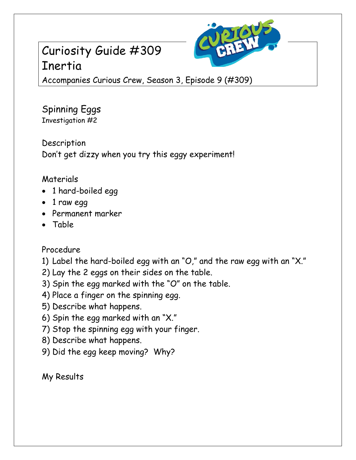## Curiosity Guide #309 Inertia



Accompanies Curious Crew, Season 3, Episode 9 (#309)

Spinning Eggs Investigation #2

Description Don't get dizzy when you try this eggy experiment!

## Materials

- 1 hard-boiled egg
- 1 raw egg
- Permanent marker
- Table

## Procedure

- 1) Label the hard-boiled egg with an "O," and the raw egg with an "X."
- 2) Lay the 2 eggs on their sides on the table.
- 3) Spin the egg marked with the "O" on the table.
- 4) Place a finger on the spinning egg.
- 5) Describe what happens.
- 6) Spin the egg marked with an "X."
- 7) Stop the spinning egg with your finger.
- 8) Describe what happens.
- 9) Did the egg keep moving? Why?

My Results